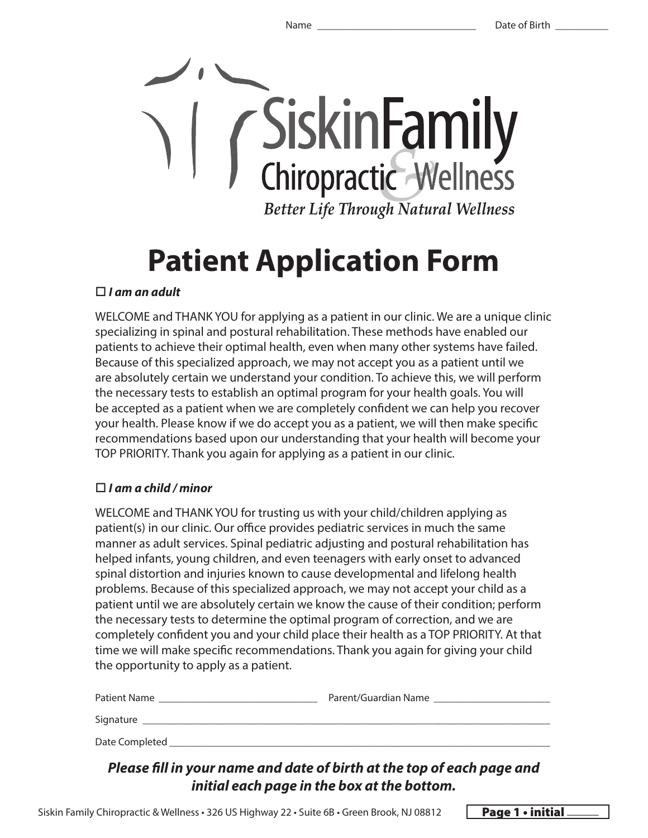

# **Patient Application Form**

#### *I am an adult*

WELCOME and THANK YOU for applying as a patient in our clinic. We are a unique clinic specializing in spinal and postural rehabilitation. These methods have enabled our patients to achieve their optimal health, even when many other systems have failed. Because of this specialized approach, we may not accept you as a patient until we are absolutely certain we understand your condition. To achieve this, we will perform the necessary tests to establish an optimal program for your health goals. You will be accepted as a patient when we are completely confident we can help you recover your health. Please know if we do accept you as a patient, we will then make specific recommendations based upon our understanding that your health will become your TOP PRIORITY. Thank you again for applying as a patient in our clinic.

#### *I am a child / minor*

WELCOME and THANK YOU for trusting us with your child/children applying as patient(s) in our clinic. Our office provides pediatric services in much the same manner as adult services. Spinal pediatric adjusting and postural rehabilitation has helped infants, young children, and even teenagers with early onset to advanced spinal distortion and injuries known to cause developmental and lifelong health problems. Because of this specialized approach, we may not accept your child as a patient until we are absolutely certain we know the cause of their condition; perform the necessary tests to determine the optimal program of correction, and we are completely confident you and your child place their health as a TOP PRIORITY. At that time we will make specific recommendations. Thank you again for giving your child the opportunity to apply as a patient.

| Patient Name   | Parent/Guardian Name |
|----------------|----------------------|
| Signature      |                      |
| Date Completed |                      |

#### *Please fill in your name and date of birth at the top of each page and initial each page in the box at the bottom.*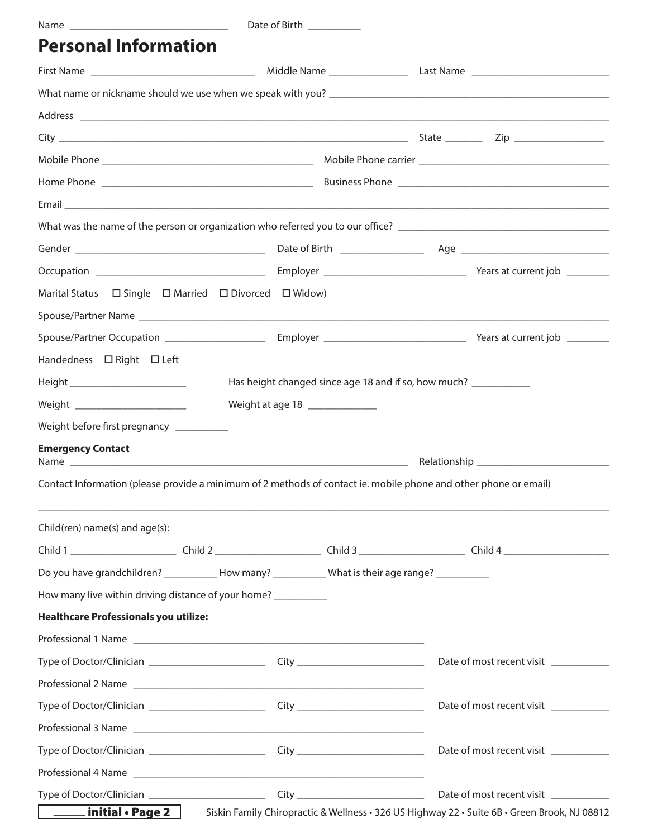|                                                                                                                                                                                                                                | Date of Birth ___________ |                                 |                                                                                              |
|--------------------------------------------------------------------------------------------------------------------------------------------------------------------------------------------------------------------------------|---------------------------|---------------------------------|----------------------------------------------------------------------------------------------|
| <b>Personal Information</b>                                                                                                                                                                                                    |                           |                                 |                                                                                              |
|                                                                                                                                                                                                                                |                           |                                 |                                                                                              |
|                                                                                                                                                                                                                                |                           |                                 |                                                                                              |
| Address experiences and the contract of the contract of the contract of the contract of the contract of the contract of the contract of the contract of the contract of the contract of the contract of the contract of the co |                           |                                 |                                                                                              |
|                                                                                                                                                                                                                                |                           |                                 |                                                                                              |
|                                                                                                                                                                                                                                |                           |                                 |                                                                                              |
|                                                                                                                                                                                                                                |                           |                                 |                                                                                              |
|                                                                                                                                                                                                                                |                           |                                 |                                                                                              |
|                                                                                                                                                                                                                                |                           |                                 |                                                                                              |
|                                                                                                                                                                                                                                |                           |                                 |                                                                                              |
|                                                                                                                                                                                                                                |                           |                                 |                                                                                              |
| Marital Status $\Box$ Single $\Box$ Married $\Box$ Divorced $\Box$ Widow)                                                                                                                                                      |                           |                                 |                                                                                              |
|                                                                                                                                                                                                                                |                           |                                 |                                                                                              |
|                                                                                                                                                                                                                                |                           |                                 |                                                                                              |
| Handedness □ Right □ Left                                                                                                                                                                                                      |                           |                                 |                                                                                              |
| Height __________________________                                                                                                                                                                                              |                           |                                 | Has height changed since age 18 and if so, how much? ___________                             |
| Weight ________________________                                                                                                                                                                                                |                           | Weight at age 18 ______________ |                                                                                              |
| Weight before first pregnancy __________                                                                                                                                                                                       |                           |                                 |                                                                                              |
| <b>Emergency Contact</b>                                                                                                                                                                                                       |                           |                                 |                                                                                              |
|                                                                                                                                                                                                                                |                           |                                 |                                                                                              |
| Contact Information (please provide a minimum of 2 methods of contact ie. mobile phone and other phone or email)                                                                                                               |                           |                                 |                                                                                              |
| Child(ren) name(s) and age(s):                                                                                                                                                                                                 |                           |                                 |                                                                                              |
|                                                                                                                                                                                                                                |                           |                                 |                                                                                              |
| Do you have grandchildren? ____________ How many? ____________ What is their age range? ___________                                                                                                                            |                           |                                 |                                                                                              |
| How many live within driving distance of your home? __________                                                                                                                                                                 |                           |                                 |                                                                                              |
| <b>Healthcare Professionals you utilize:</b>                                                                                                                                                                                   |                           |                                 |                                                                                              |
|                                                                                                                                                                                                                                |                           |                                 |                                                                                              |
|                                                                                                                                                                                                                                |                           |                                 | Date of most recent visit                                                                    |
|                                                                                                                                                                                                                                |                           |                                 |                                                                                              |
|                                                                                                                                                                                                                                |                           |                                 | Date of most recent visit                                                                    |
|                                                                                                                                                                                                                                |                           |                                 |                                                                                              |
|                                                                                                                                                                                                                                |                           |                                 | Date of most recent visit ___________                                                        |
|                                                                                                                                                                                                                                |                           |                                 |                                                                                              |
|                                                                                                                                                                                                                                |                           |                                 | Date of most recent visit                                                                    |
| initial $\cdot$ Page 2 $\parallel$                                                                                                                                                                                             |                           |                                 | Siskin Family Chiropractic & Wellness · 326 US Highway 22 · Suite 6B · Green Brook, NJ 08812 |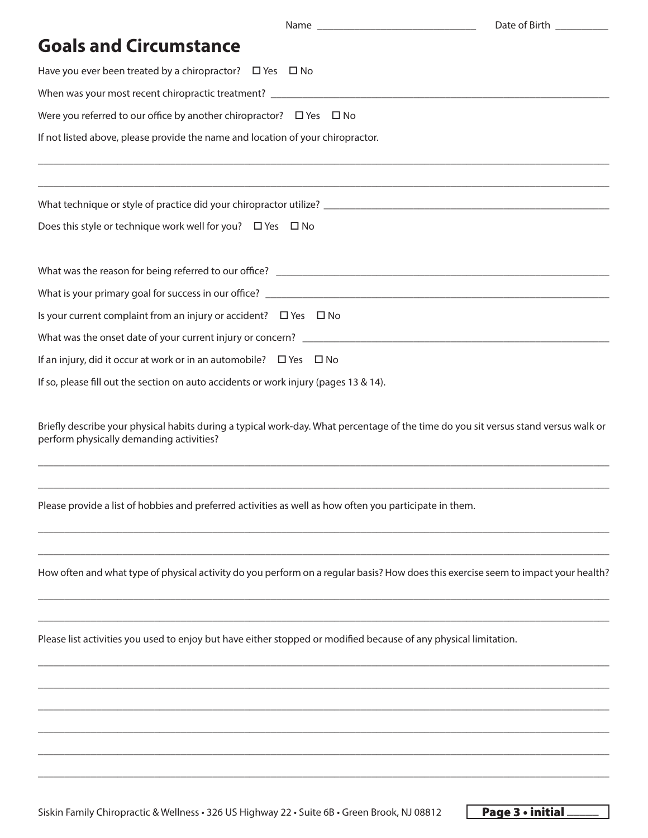| Date of Birth __________                                                                                                                                                        |
|---------------------------------------------------------------------------------------------------------------------------------------------------------------------------------|
| <b>Goals and Circumstance</b>                                                                                                                                                   |
| Have you ever been treated by a chiropractor? $\Box$ Yes $\Box$ No                                                                                                              |
|                                                                                                                                                                                 |
| Were you referred to our office by another chiropractor? $\Box$ Yes $\Box$ No                                                                                                   |
| If not listed above, please provide the name and location of your chiropractor.                                                                                                 |
|                                                                                                                                                                                 |
| Does this style or technique work well for you? $\Box$ Yes $\Box$ No                                                                                                            |
|                                                                                                                                                                                 |
|                                                                                                                                                                                 |
| Is your current complaint from an injury or accident? $\Box$ Yes $\Box$ No                                                                                                      |
|                                                                                                                                                                                 |
| If an injury, did it occur at work or in an automobile? $\Box$ Yes $\Box$ No                                                                                                    |
| If so, please fill out the section on auto accidents or work injury (pages 13 & 14).                                                                                            |
| Briefly describe your physical habits during a typical work-day. What percentage of the time do you sit versus stand versus walk or<br>perform physically demanding activities? |
| Please provide a list of hobbies and preferred activities as well as how often you participate in them.                                                                         |
| How often and what type of physical activity do you perform on a regular basis? How does this exercise seem to impact your health?                                              |
| Please list activities you used to enjoy but have either stopped or modified because of any physical limitation.                                                                |
|                                                                                                                                                                                 |
|                                                                                                                                                                                 |
|                                                                                                                                                                                 |
|                                                                                                                                                                                 |

\_\_\_\_\_\_\_\_\_\_\_\_\_\_\_\_\_\_\_\_\_\_\_\_\_\_\_\_\_\_\_\_\_\_\_\_\_\_\_\_\_\_\_\_\_\_\_\_\_\_\_\_\_\_\_\_\_\_\_\_\_\_\_\_\_\_\_\_\_\_\_\_\_\_\_\_\_\_\_\_\_\_\_\_\_\_\_\_\_\_\_\_\_\_\_\_\_\_\_\_\_\_\_\_\_\_\_\_

Siskin Family Chiropractic & Wellness • 326 US Highway 22 • Suite 6B • Green Brook, NJ 08812 Page 3 • initial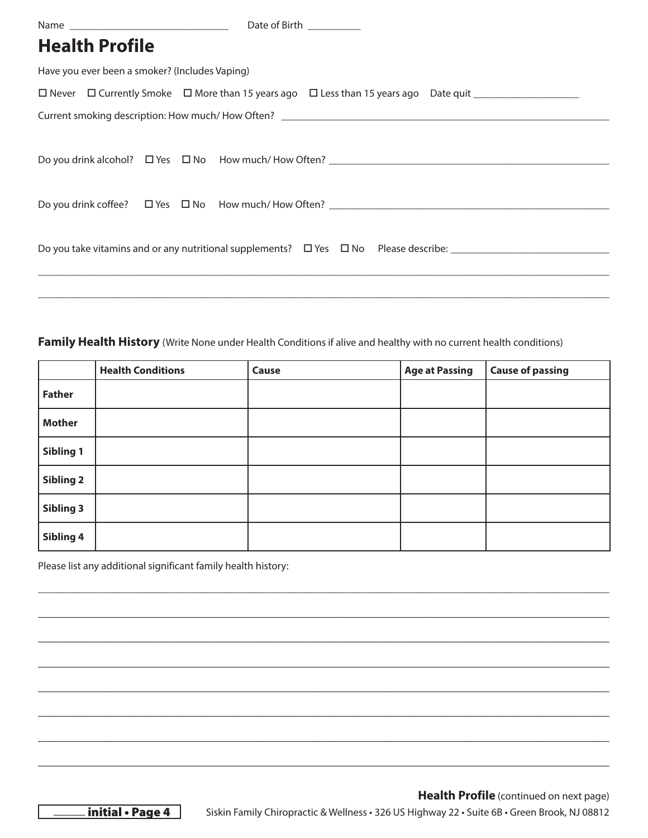|                                                | Date of Birth <b>National Exercise</b> |  |  |  |  |  |  |  |
|------------------------------------------------|----------------------------------------|--|--|--|--|--|--|--|
| <b>Health Profile</b>                          |                                        |  |  |  |  |  |  |  |
| Have you ever been a smoker? (Includes Vaping) |                                        |  |  |  |  |  |  |  |
|                                                |                                        |  |  |  |  |  |  |  |
|                                                |                                        |  |  |  |  |  |  |  |
|                                                |                                        |  |  |  |  |  |  |  |
|                                                |                                        |  |  |  |  |  |  |  |
|                                                |                                        |  |  |  |  |  |  |  |
|                                                |                                        |  |  |  |  |  |  |  |
|                                                |                                        |  |  |  |  |  |  |  |
|                                                |                                        |  |  |  |  |  |  |  |
|                                                |                                        |  |  |  |  |  |  |  |
|                                                |                                        |  |  |  |  |  |  |  |

#### **Family Health History** (Write None under Health Conditions if alive and healthy with no current health conditions)

|                  | <b>Health Conditions</b> | Cause | <b>Age at Passing</b> | <b>Cause of passing</b> |
|------------------|--------------------------|-------|-----------------------|-------------------------|
| <b>Father</b>    |                          |       |                       |                         |
| <b>Mother</b>    |                          |       |                       |                         |
| Sibling 1        |                          |       |                       |                         |
| Sibling 2        |                          |       |                       |                         |
| <b>Sibling 3</b> |                          |       |                       |                         |
| Sibling 4        |                          |       |                       |                         |

\_\_\_\_\_\_\_\_\_\_\_\_\_\_\_\_\_\_\_\_\_\_\_\_\_\_\_\_\_\_\_\_\_\_\_\_\_\_\_\_\_\_\_\_\_\_\_\_\_\_\_\_\_\_\_\_\_\_\_\_\_\_\_\_\_\_\_\_\_\_\_\_\_\_\_\_\_\_\_\_\_\_\_\_\_\_\_\_\_\_\_\_\_\_\_\_\_\_\_\_\_\_\_\_\_\_\_\_

**\_\_\_\_\_\_\_\_\_\_\_\_\_\_\_\_\_\_\_\_\_\_\_\_\_\_\_\_\_\_\_\_\_\_\_\_\_\_\_\_\_\_\_\_\_\_\_\_\_\_\_\_\_\_\_\_\_\_\_\_\_\_\_\_\_\_\_\_\_\_\_\_\_\_\_\_\_\_\_\_\_\_\_\_\_\_\_\_\_\_**

**\_\_\_\_\_\_\_\_\_\_\_\_\_\_\_\_\_\_\_\_\_\_\_\_\_\_\_\_\_\_\_\_\_\_\_\_\_\_\_\_\_\_\_\_\_\_\_\_\_\_\_\_\_\_\_\_\_\_\_\_\_\_\_\_\_\_\_\_\_\_\_\_\_\_\_\_\_\_\_\_\_\_\_\_\_\_\_\_\_\_**

**\_\_\_\_\_\_\_\_\_\_\_\_\_\_\_\_\_\_\_\_\_\_\_\_\_\_\_\_\_\_\_\_\_\_\_\_\_\_\_\_\_\_\_\_\_\_\_\_\_\_\_\_\_\_\_\_\_\_\_\_\_\_\_\_\_\_\_\_\_\_\_\_\_\_\_\_\_\_\_\_\_\_\_\_\_\_\_\_\_\_**

**\_\_\_\_\_\_\_\_\_\_\_\_\_\_\_\_\_\_\_\_\_\_\_\_\_\_\_\_\_\_\_\_\_\_\_\_\_\_\_\_\_\_\_\_\_\_\_\_\_\_\_\_\_\_\_\_\_\_\_\_\_\_\_\_\_\_\_\_\_\_\_\_\_\_\_\_\_\_\_\_\_\_\_\_\_\_\_\_\_\_**

**\_\_\_\_\_\_\_\_\_\_\_\_\_\_\_\_\_\_\_\_\_\_\_\_\_\_\_\_\_\_\_\_\_\_\_\_\_\_\_\_\_\_\_\_\_\_\_\_\_\_\_\_\_\_\_\_\_\_\_\_\_\_\_\_\_\_\_\_\_\_\_\_\_\_\_\_\_\_\_\_\_\_\_\_\_\_\_\_\_\_**

**\_\_\_\_\_\_\_\_\_\_\_\_\_\_\_\_\_\_\_\_\_\_\_\_\_\_\_\_\_\_\_\_\_\_\_\_\_\_\_\_\_\_\_\_\_\_\_\_\_\_\_\_\_\_\_\_\_\_\_\_\_\_\_\_\_\_\_\_\_\_\_\_\_\_\_\_\_\_\_\_\_\_\_\_\_\_\_\_\_\_**

**\_\_\_\_\_\_\_\_\_\_\_\_\_\_\_\_\_\_\_\_\_\_\_\_\_\_\_\_\_\_\_\_\_\_\_\_\_\_\_\_\_\_\_\_\_\_\_\_\_\_\_\_\_\_\_\_\_\_\_\_\_\_\_\_\_\_\_\_\_\_\_\_\_\_\_\_\_\_\_\_\_\_\_\_\_\_\_\_\_\_**

Please list any additional significant family health history:

\_initial • Page 4 Siskin Family Chiropractic & Wellness • 326 US Highway 22 • Suite 6B • Green Brook, NJ 08812 **Health Profile** (continued on next page)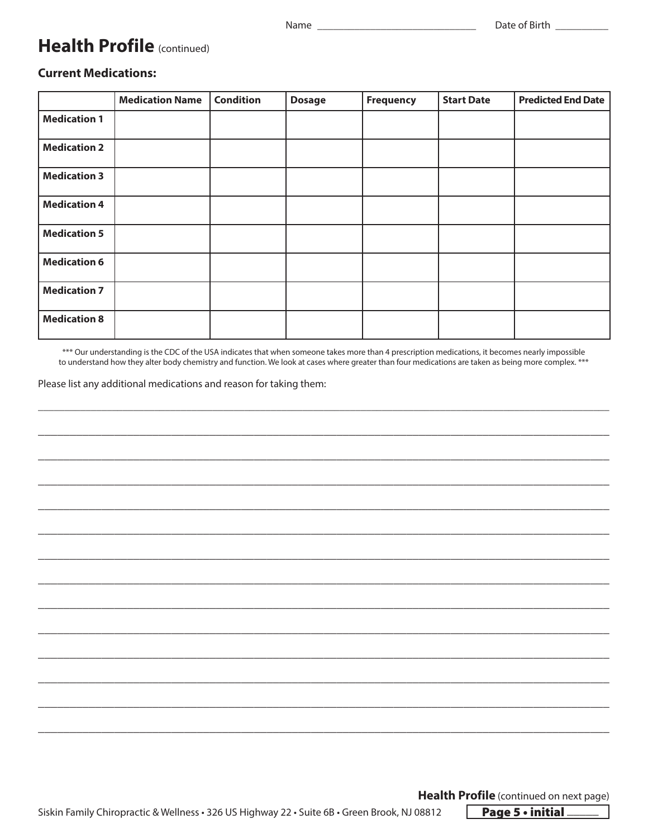### **Health Profile** (continued)

#### **Current Medications:**

|                     | <b>Medication Name</b> | <b>Condition</b> | <b>Dosage</b> | <b>Frequency</b> | <b>Start Date</b> | <b>Predicted End Date</b> |
|---------------------|------------------------|------------------|---------------|------------------|-------------------|---------------------------|
| <b>Medication 1</b> |                        |                  |               |                  |                   |                           |
| <b>Medication 2</b> |                        |                  |               |                  |                   |                           |
| <b>Medication 3</b> |                        |                  |               |                  |                   |                           |
| <b>Medication 4</b> |                        |                  |               |                  |                   |                           |
| <b>Medication 5</b> |                        |                  |               |                  |                   |                           |
| <b>Medication 6</b> |                        |                  |               |                  |                   |                           |
| <b>Medication 7</b> |                        |                  |               |                  |                   |                           |
| <b>Medication 8</b> |                        |                  |               |                  |                   |                           |

\*\*\* Our understanding is the CDC of the USA indicates that when someone takes more than 4 prescription medications, it becomes nearly impossible to understand how they alter body chemistry and function. We look at cases where greater than four medications are taken as being more complex. \*\*\*

\_\_\_\_\_\_\_\_\_\_\_\_\_\_\_\_\_\_\_\_\_\_\_\_\_\_\_\_\_\_\_\_\_\_\_\_\_\_\_\_\_\_\_\_\_\_\_\_\_\_\_\_\_\_\_\_\_\_\_\_\_\_\_\_\_\_\_\_\_\_\_\_\_\_\_\_\_\_\_\_\_\_\_\_\_\_\_\_\_\_\_\_\_\_\_\_\_\_\_\_\_\_\_\_\_\_\_\_

**\_\_\_\_\_\_\_\_\_\_\_\_\_\_\_\_\_\_\_\_\_\_\_\_\_\_\_\_\_\_\_\_\_\_\_\_\_\_\_\_\_\_\_\_\_\_\_\_\_\_\_\_\_\_\_\_\_\_\_\_\_\_\_\_\_\_\_\_\_\_\_\_\_\_\_\_\_\_\_\_\_\_\_\_\_\_\_\_\_\_**

**\_\_\_\_\_\_\_\_\_\_\_\_\_\_\_\_\_\_\_\_\_\_\_\_\_\_\_\_\_\_\_\_\_\_\_\_\_\_\_\_\_\_\_\_\_\_\_\_\_\_\_\_\_\_\_\_\_\_\_\_\_\_\_\_\_\_\_\_\_\_\_\_\_\_\_\_\_\_\_\_\_\_\_\_\_\_\_\_\_\_**

**\_\_\_\_\_\_\_\_\_\_\_\_\_\_\_\_\_\_\_\_\_\_\_\_\_\_\_\_\_\_\_\_\_\_\_\_\_\_\_\_\_\_\_\_\_\_\_\_\_\_\_\_\_\_\_\_\_\_\_\_\_\_\_\_\_\_\_\_\_\_\_\_\_\_\_\_\_\_\_\_\_\_\_\_\_\_\_\_\_\_**

**\_\_\_\_\_\_\_\_\_\_\_\_\_\_\_\_\_\_\_\_\_\_\_\_\_\_\_\_\_\_\_\_\_\_\_\_\_\_\_\_\_\_\_\_\_\_\_\_\_\_\_\_\_\_\_\_\_\_\_\_\_\_\_\_\_\_\_\_\_\_\_\_\_\_\_\_\_\_\_\_\_\_\_\_\_\_\_\_\_\_**

**\_\_\_\_\_\_\_\_\_\_\_\_\_\_\_\_\_\_\_\_\_\_\_\_\_\_\_\_\_\_\_\_\_\_\_\_\_\_\_\_\_\_\_\_\_\_\_\_\_\_\_\_\_\_\_\_\_\_\_\_\_\_\_\_\_\_\_\_\_\_\_\_\_\_\_\_\_\_\_\_\_\_\_\_\_\_\_\_\_\_**

**\_\_\_\_\_\_\_\_\_\_\_\_\_\_\_\_\_\_\_\_\_\_\_\_\_\_\_\_\_\_\_\_\_\_\_\_\_\_\_\_\_\_\_\_\_\_\_\_\_\_\_\_\_\_\_\_\_\_\_\_\_\_\_\_\_\_\_\_\_\_\_\_\_\_\_\_\_\_\_\_\_\_\_\_\_\_\_\_\_\_**

**\_\_\_\_\_\_\_\_\_\_\_\_\_\_\_\_\_\_\_\_\_\_\_\_\_\_\_\_\_\_\_\_\_\_\_\_\_\_\_\_\_\_\_\_\_\_\_\_\_\_\_\_\_\_\_\_\_\_\_\_\_\_\_\_\_\_\_\_\_\_\_\_\_\_\_\_\_\_\_\_\_\_\_\_\_\_\_\_\_\_**

**\_\_\_\_\_\_\_\_\_\_\_\_\_\_\_\_\_\_\_\_\_\_\_\_\_\_\_\_\_\_\_\_\_\_\_\_\_\_\_\_\_\_\_\_\_\_\_\_\_\_\_\_\_\_\_\_\_\_\_\_\_\_\_\_\_\_\_\_\_\_\_\_\_\_\_\_\_\_\_\_\_\_\_\_\_\_\_\_\_\_**

**\_\_\_\_\_\_\_\_\_\_\_\_\_\_\_\_\_\_\_\_\_\_\_\_\_\_\_\_\_\_\_\_\_\_\_\_\_\_\_\_\_\_\_\_\_\_\_\_\_\_\_\_\_\_\_\_\_\_\_\_\_\_\_\_\_\_\_\_\_\_\_\_\_\_\_\_\_\_\_\_\_\_\_\_\_\_\_\_\_\_**

**\_\_\_\_\_\_\_\_\_\_\_\_\_\_\_\_\_\_\_\_\_\_\_\_\_\_\_\_\_\_\_\_\_\_\_\_\_\_\_\_\_\_\_\_\_\_\_\_\_\_\_\_\_\_\_\_\_\_\_\_\_\_\_\_\_\_\_\_\_\_\_\_\_\_\_\_\_\_\_\_\_\_\_\_\_\_\_\_\_\_**

**\_\_\_\_\_\_\_\_\_\_\_\_\_\_\_\_\_\_\_\_\_\_\_\_\_\_\_\_\_\_\_\_\_\_\_\_\_\_\_\_\_\_\_\_\_\_\_\_\_\_\_\_\_\_\_\_\_\_\_\_\_\_\_\_\_\_\_\_\_\_\_\_\_\_\_\_\_\_\_\_\_\_\_\_\_\_\_\_\_\_**

**\_\_\_\_\_\_\_\_\_\_\_\_\_\_\_\_\_\_\_\_\_\_\_\_\_\_\_\_\_\_\_\_\_\_\_\_\_\_\_\_\_\_\_\_\_\_\_\_\_\_\_\_\_\_\_\_\_\_\_\_\_\_\_\_\_\_\_\_\_\_\_\_\_\_\_\_\_\_\_\_\_\_\_\_\_\_\_\_\_\_**

**\_\_\_\_\_\_\_\_\_\_\_\_\_\_\_\_\_\_\_\_\_\_\_\_\_\_\_\_\_\_\_\_\_\_\_\_\_\_\_\_\_\_\_\_\_\_\_\_\_\_\_\_\_\_\_\_\_\_\_\_\_\_\_\_\_\_\_\_\_\_\_\_\_\_\_\_\_\_\_\_\_\_\_\_\_\_\_\_\_\_**

Please list any additional medications and reason for taking them:

**Health Profile** (continued on next page)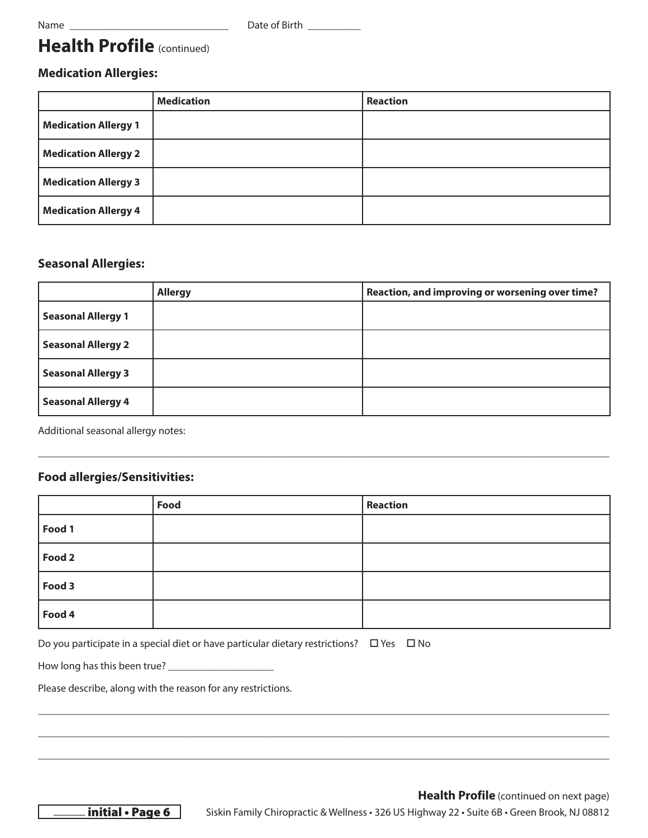### **Health Profile** (continued)

#### **Medication Allergies:**

|                             | <b>Medication</b> | <b>Reaction</b> |
|-----------------------------|-------------------|-----------------|
| <b>Medication Allergy 1</b> |                   |                 |
| <b>Medication Allergy 2</b> |                   |                 |
| <b>Medication Allergy 3</b> |                   |                 |
| <b>Medication Allergy 4</b> |                   |                 |

#### **Seasonal Allergies:**

|                           | <b>Allergy</b> | Reaction, and improving or worsening over time? |
|---------------------------|----------------|-------------------------------------------------|
| <b>Seasonal Allergy 1</b> |                |                                                 |
| <b>Seasonal Allergy 2</b> |                |                                                 |
| <b>Seasonal Allergy 3</b> |                |                                                 |
| <b>Seasonal Allergy 4</b> |                |                                                 |

\_\_\_\_\_\_\_\_\_\_\_\_\_\_\_\_\_\_\_\_\_\_\_\_\_\_\_\_\_\_\_\_\_\_\_\_\_\_\_\_\_\_\_\_\_\_\_\_\_\_\_\_\_\_\_\_\_\_\_\_\_\_\_\_\_\_\_\_\_\_\_\_\_\_\_\_\_\_\_\_\_\_\_\_\_\_\_\_\_\_\_\_\_\_\_\_\_\_\_\_\_\_\_\_\_\_\_\_

Additional seasonal allergy notes:

#### **Food allergies/Sensitivities:**

|        | Food | <b>Reaction</b> |
|--------|------|-----------------|
| Food 1 |      |                 |
| Food 2 |      |                 |
| Food 3 |      |                 |
| Food 4 |      |                 |

\_\_\_\_\_\_\_\_\_\_\_\_\_\_\_\_\_\_\_\_\_\_\_\_\_\_\_\_\_\_\_\_\_\_\_\_\_\_\_\_\_\_\_\_\_\_\_\_\_\_\_\_\_\_\_\_\_\_\_\_\_\_\_\_\_\_\_\_\_\_\_\_\_\_\_\_\_\_\_\_\_\_\_\_\_\_\_\_\_\_\_\_\_\_\_\_\_\_\_\_\_\_\_\_\_\_\_\_

\_\_\_\_\_\_\_\_\_\_\_\_\_\_\_\_\_\_\_\_\_\_\_\_\_\_\_\_\_\_\_\_\_\_\_\_\_\_\_\_\_\_\_\_\_\_\_\_\_\_\_\_\_\_\_\_\_\_\_\_\_\_\_\_\_\_\_\_\_\_\_\_\_\_\_\_\_\_\_\_\_\_\_\_\_\_\_\_\_\_\_\_\_\_\_\_\_\_\_\_\_\_\_\_\_\_\_\_

\_\_\_\_\_\_\_\_\_\_\_\_\_\_\_\_\_\_\_\_\_\_\_\_\_\_\_\_\_\_\_\_\_\_\_\_\_\_\_\_\_\_\_\_\_\_\_\_\_\_\_\_\_\_\_\_\_\_\_\_\_\_\_\_\_\_\_\_\_\_\_\_\_\_\_\_\_\_\_\_\_\_\_\_\_\_\_\_\_\_\_\_\_\_\_\_\_\_\_\_\_\_\_\_\_\_\_\_

Do you participate in a special diet or have particular dietary restrictions?  $\Box$  Yes  $\Box$  No

How long has this been true? \_\_\_\_\_\_\_\_\_\_\_\_\_\_\_\_\_\_\_\_

Please describe, along with the reason for any restrictions.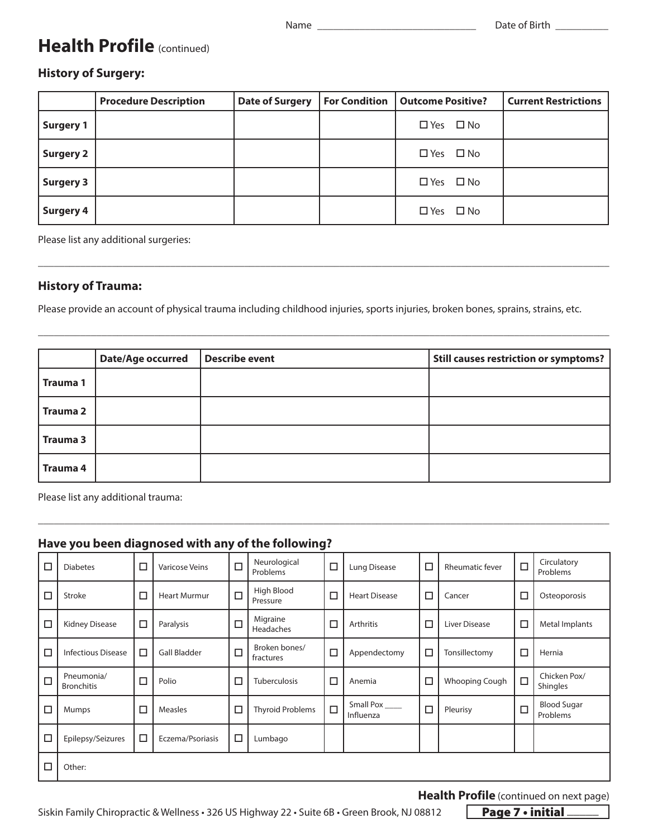### **Health Profile** (continued)

#### **History of Surgery:**

|                  | <b>Procedure Description</b> | <b>Date of Surgery</b> | For Condition   Outcome Positive? | <b>Current Restrictions</b> |
|------------------|------------------------------|------------------------|-----------------------------------|-----------------------------|
| <b>Surgery 1</b> |                              |                        | $\Box$ Yes $\Box$ No              |                             |
| <b>Surgery 2</b> |                              |                        | $\Box$ Yes $\Box$ No              |                             |
| <b>Surgery 3</b> |                              |                        | $\Box$ Yes $\Box$ No              |                             |
| <b>Surgery 4</b> |                              |                        | $\Box$ Yes $\Box$ No              |                             |

\_\_\_\_\_\_\_\_\_\_\_\_\_\_\_\_\_\_\_\_\_\_\_\_\_\_\_\_\_\_\_\_\_\_\_\_\_\_\_\_\_\_\_\_\_\_\_\_\_\_\_\_\_\_\_\_\_\_\_\_\_\_\_\_\_\_\_\_\_\_\_\_\_\_\_\_\_\_\_\_\_\_\_\_\_\_\_\_\_\_\_\_\_\_\_\_\_\_\_\_\_\_\_\_\_\_\_\_

\_\_\_\_\_\_\_\_\_\_\_\_\_\_\_\_\_\_\_\_\_\_\_\_\_\_\_\_\_\_\_\_\_\_\_\_\_\_\_\_\_\_\_\_\_\_\_\_\_\_\_\_\_\_\_\_\_\_\_\_\_\_\_\_\_\_\_\_\_\_\_\_\_\_\_\_\_\_\_\_\_\_\_\_\_\_\_\_\_\_\_\_\_\_\_\_\_\_\_\_\_\_\_\_\_\_\_\_

Please list any additional surgeries:

#### **History of Trauma:**

Please provide an account of physical trauma including childhood injuries, sports injuries, broken bones, sprains, strains, etc.

|                 | <b>Date/Age occurred</b> | Describe event | <b>Still causes restriction or symptoms?</b> |
|-----------------|--------------------------|----------------|----------------------------------------------|
| <b>Trauma1</b>  |                          |                |                                              |
| <b>Trauma 2</b> |                          |                |                                              |
| <b>Trauma 3</b> |                          |                |                                              |
| <b>Trauma 4</b> |                          |                |                                              |

\_\_\_\_\_\_\_\_\_\_\_\_\_\_\_\_\_\_\_\_\_\_\_\_\_\_\_\_\_\_\_\_\_\_\_\_\_\_\_\_\_\_\_\_\_\_\_\_\_\_\_\_\_\_\_\_\_\_\_\_\_\_\_\_\_\_\_\_\_\_\_\_\_\_\_\_\_\_\_\_\_\_\_\_\_\_\_\_\_\_\_\_\_\_\_\_\_\_\_\_\_\_\_\_\_\_\_\_

Please list any additional trauma:

#### **Have you been diagnosed with any of the following?**

| □      | <b>Diabetes</b>                 | □      | <b>Varicose Veins</b> | $\Box$ | Neurological<br>Problems   | $\Box$ | Lung Disease           | □ | <b>Rheumatic fever</b> | $\Box$ | Circulatory<br>Problems        |
|--------|---------------------------------|--------|-----------------------|--------|----------------------------|--------|------------------------|---|------------------------|--------|--------------------------------|
| □      | Stroke                          | □      | <b>Heart Murmur</b>   | $\Box$ | High Blood<br>Pressure     | С      | <b>Heart Disease</b>   | □ | Cancer                 | ⊏      | Osteoporosis                   |
| $\Box$ | <b>Kidney Disease</b>           | $\Box$ | Paralysis             | $\Box$ | Migraine<br>Headaches      | $\Box$ | Arthritis              | □ | Liver Disease          | $\Box$ | Metal Implants                 |
| $\Box$ | <b>Infectious Disease</b>       | □      | <b>Gall Bladder</b>   | $\Box$ | Broken bones/<br>fractures | $\Box$ | Appendectomy           | □ | Tonsillectomy          | □      | Hernia                         |
| $\Box$ | Pneumonia/<br><b>Bronchitis</b> | $\Box$ | Polio                 | □      | <b>Tuberculosis</b>        | $\Box$ | Anemia                 | □ | Whooping Cough         | $\Box$ | Chicken Pox/<br>Shingles       |
| □      | <b>Mumps</b>                    | □      | <b>Measles</b>        | □      | <b>Thyroid Problems</b>    | $\Box$ | Small Pox<br>Influenza | □ | Pleurisy               | □      | <b>Blood Sugar</b><br>Problems |
| $\Box$ | Epilepsy/Seizures               | □      | Eczema/Psoriasis      | □      | Lumbago                    |        |                        |   |                        |        |                                |
| □      | Other:                          |        |                       |        |                            |        |                        |   |                        |        |                                |

#### **Health Profile** (continued on next page)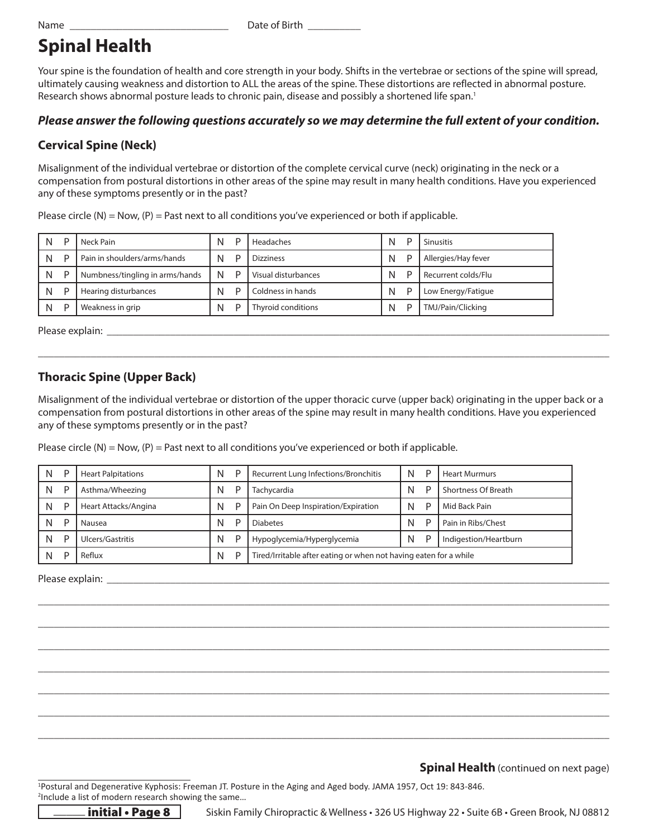Name \_\_\_\_\_\_\_\_\_\_\_\_\_\_\_\_\_\_\_\_\_\_\_\_\_\_\_\_\_\_ Date of Birth \_\_\_\_\_\_\_\_\_\_

### **Spinal Health**

Your spine is the foundation of health and core strength in your body. Shifts in the vertebrae or sections of the spine will spread, ultimately causing weakness and distortion to ALL the areas of the spine. These distortions are reflected in abnormal posture. Research shows abnormal posture leads to chronic pain, disease and possibly a shortened life span.<sup>1</sup>

#### *Please answer the following questions accurately so we may determine the full extent of your condition.*

#### **Cervical Spine (Neck)**

Misalignment of the individual vertebrae or distortion of the complete cervical curve (neck) originating in the neck or a compensation from postural distortions in other areas of the spine may result in many health conditions. Have you experienced any of these symptoms presently or in the past?

| N | D | Neck Pain                       | N | D | Headaches           | N | Sinusitis           |
|---|---|---------------------------------|---|---|---------------------|---|---------------------|
| N | D | Pain in shoulders/arms/hands    | N | D | <b>Dizziness</b>    | N | Allergies/Hay fever |
| N | D | Numbness/tingling in arms/hands | N | D | Visual disturbances | N | Recurrent colds/Flu |
| N | D | Hearing disturbances            | N | D | Coldness in hands   | N | Low Energy/Fatigue  |
| N | D | Weakness in grip                | N | D | Thyroid conditions  | N | TMJ/Pain/Clicking   |

Please circle (N) = Now,  $(P)$  = Past next to all conditions you've experienced or both if applicable.

Please explain: **Example 20** and  $\overline{a}$  and  $\overline{b}$  and  $\overline{c}$  and  $\overline{d}$  and  $\overline{c}$  and  $\overline{c}$  and  $\overline{c}$  and  $\overline{c}$  and  $\overline{c}$  and  $\overline{c}$  and  $\overline{c}$  and  $\overline{c}$  and  $\overline{c}$  and  $\overline{c}$  and  $\overline{c}$ 

#### **Thoracic Spine (Upper Back)**

Misalignment of the individual vertebrae or distortion of the upper thoracic curve (upper back) originating in the upper back or a compensation from postural distortions in other areas of the spine may result in many health conditions. Have you experienced any of these symptoms presently or in the past?

\_\_\_\_\_\_\_\_\_\_\_\_\_\_\_\_\_\_\_\_\_\_\_\_\_\_\_\_\_\_\_\_\_\_\_\_\_\_\_\_\_\_\_\_\_\_\_\_\_\_\_\_\_\_\_\_\_\_\_\_\_\_\_\_\_\_\_\_\_\_\_\_\_\_\_\_\_\_\_\_\_\_\_\_\_\_\_\_\_\_\_\_\_\_\_\_\_\_\_\_\_\_\_\_\_\_\_\_

Please circle (N) = Now,  $(P)$  = Past next to all conditions you've experienced or both if applicable.

| N | D | <b>Heart Palpitations</b> | N | P | Recurrent Lung Infections/Bronchitis                              |   | D | <b>Heart Murmurs</b> |
|---|---|---------------------------|---|---|-------------------------------------------------------------------|---|---|----------------------|
| N | D | Asthma/Wheezing           | N | D | Tachycardia                                                       |   |   | Shortness Of Breath  |
| N | D | Heart Attacks/Angina      | N | D | Pain On Deep Inspiration/Expiration                               | N |   | Mid Back Pain        |
| N | D | Nausea                    | N | D | <b>Diabetes</b>                                                   | N |   | Pain in Ribs/Chest   |
| N | D | Ulcers/Gastritis          | N | D | N<br>Indigestion/Heartburn<br>Hypoglycemia/Hyperglycemia          |   |   |                      |
|   | D | Reflux                    | N | D | Tired/Irritable after eating or when not having eaten for a while |   |   |                      |

\_\_\_\_\_\_\_\_\_\_\_\_\_\_\_\_\_\_\_\_\_\_\_\_\_\_\_\_\_\_\_\_\_\_\_\_\_\_\_\_\_\_\_\_\_\_\_\_\_\_\_\_\_\_\_\_\_\_\_\_\_\_\_\_\_\_\_\_\_\_\_\_\_\_\_\_\_\_\_\_\_\_\_\_\_\_\_\_\_\_\_\_\_\_\_\_\_\_\_\_\_\_\_\_\_\_\_\_

\_\_\_\_\_\_\_\_\_\_\_\_\_\_\_\_\_\_\_\_\_\_\_\_\_\_\_\_\_\_\_\_\_\_\_\_\_\_\_\_\_\_\_\_\_\_\_\_\_\_\_\_\_\_\_\_\_\_\_\_\_\_\_\_\_\_\_\_\_\_\_\_\_\_\_\_\_\_\_\_\_\_\_\_\_\_\_\_\_\_\_\_\_\_\_\_\_\_\_\_\_\_\_\_\_\_\_\_

\_\_\_\_\_\_\_\_\_\_\_\_\_\_\_\_\_\_\_\_\_\_\_\_\_\_\_\_\_\_\_\_\_\_\_\_\_\_\_\_\_\_\_\_\_\_\_\_\_\_\_\_\_\_\_\_\_\_\_\_\_\_\_\_\_\_\_\_\_\_\_\_\_\_\_\_\_\_\_\_\_\_\_\_\_\_\_\_\_\_\_\_\_\_\_\_\_\_\_\_\_\_\_\_\_\_\_\_

\_\_\_\_\_\_\_\_\_\_\_\_\_\_\_\_\_\_\_\_\_\_\_\_\_\_\_\_\_\_\_\_\_\_\_\_\_\_\_\_\_\_\_\_\_\_\_\_\_\_\_\_\_\_\_\_\_\_\_\_\_\_\_\_\_\_\_\_\_\_\_\_\_\_\_\_\_\_\_\_\_\_\_\_\_\_\_\_\_\_\_\_\_\_\_\_\_\_\_\_\_\_\_\_\_\_\_\_

\_\_\_\_\_\_\_\_\_\_\_\_\_\_\_\_\_\_\_\_\_\_\_\_\_\_\_\_\_\_\_\_\_\_\_\_\_\_\_\_\_\_\_\_\_\_\_\_\_\_\_\_\_\_\_\_\_\_\_\_\_\_\_\_\_\_\_\_\_\_\_\_\_\_\_\_\_\_\_\_\_\_\_\_\_\_\_\_\_\_\_\_\_\_\_\_\_\_\_\_\_\_\_\_\_\_\_\_

\_\_\_\_\_\_\_\_\_\_\_\_\_\_\_\_\_\_\_\_\_\_\_\_\_\_\_\_\_\_\_\_\_\_\_\_\_\_\_\_\_\_\_\_\_\_\_\_\_\_\_\_\_\_\_\_\_\_\_\_\_\_\_\_\_\_\_\_\_\_\_\_\_\_\_\_\_\_\_\_\_\_\_\_\_\_\_\_\_\_\_\_\_\_\_\_\_\_\_\_\_\_\_\_\_\_\_\_

\_\_\_\_\_\_\_\_\_\_\_\_\_\_\_\_\_\_\_\_\_\_\_\_\_\_\_\_\_\_\_\_\_\_\_\_\_\_\_\_\_\_\_\_\_\_\_\_\_\_\_\_\_\_\_\_\_\_\_\_\_\_\_\_\_\_\_\_\_\_\_\_\_\_\_\_\_\_\_\_\_\_\_\_\_\_\_\_\_\_\_\_\_\_\_\_\_\_\_\_\_\_\_\_\_\_\_\_

Please explain: \_\_\_\_\_\_\_\_\_\_\_\_\_\_\_\_\_\_\_\_\_\_\_\_\_\_\_\_\_\_\_\_\_\_\_\_\_\_\_\_\_\_\_\_\_\_\_\_\_\_\_\_\_\_\_\_\_\_\_\_\_\_\_\_\_\_\_\_\_\_\_\_\_\_\_\_\_\_\_\_\_\_\_\_\_\_\_\_\_\_\_\_\_\_\_

**Spinal Health** (continued on next page)

1 Postural and Degenerative Kyphosis: Freeman JT. Posture in the Aging and Aged body. JAMA 1957, Oct 19: 843-846. 2 Include a list of modern research showing the same…



 $\pm$  initial • Page 8  $\pm$  Siskin Family Chiropractic & Wellness • 326 US Highway 22 • Suite 6B • Green Brook, NJ 08812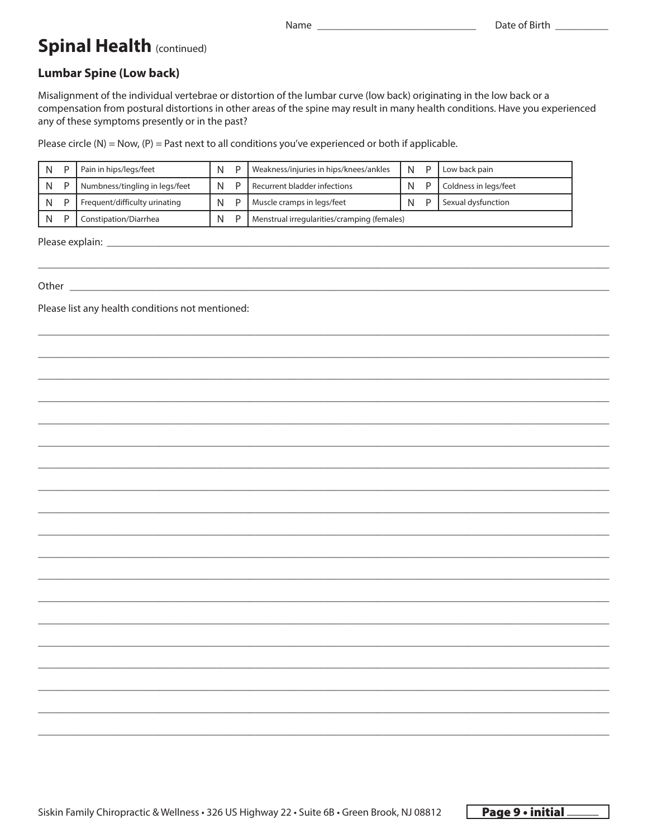### **Spinal Health (continued)**

### **Lumbar Spine (Low back)**

Misalignment of the individual vertebrae or distortion of the lumbar curve (low back) originating in the low back or a compensation from postural distortions in other areas of the spine may result in many health conditions. Have you experienced any of these symptoms presently or in the past?

Name

Please circle  $(N)$  = Now,  $(P)$  = Past next to all conditions you've experienced or both if applicable.

| N | Pain in hips/legs/feet         |  | Weakness/injuries in hips/knees/ankles      | N |  | Low back pain         |
|---|--------------------------------|--|---------------------------------------------|---|--|-----------------------|
| N | Numbness/tingling in legs/feet |  | Recurrent bladder infections                | N |  | Coldness in legs/feet |
| N | Frequent/difficulty urinating  |  | Muscle cramps in legs/feet                  | N |  | Sexual dysfunction    |
|   | Constipation/Diarrhea          |  | Menstrual irregularities/cramping (females) |   |  |                       |

Other  $\_\_$ 

Please list any health conditions not mentioned: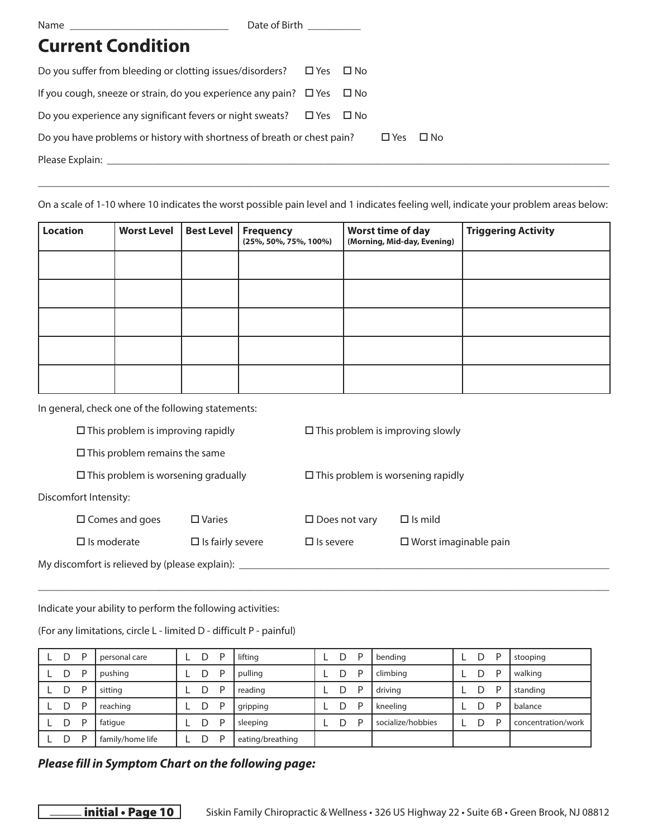Date of Birth

### **Current Condition**

| Do you suffer from bleeding or clotting issues/disorders? $\Box$ Yes $\Box$ No   |  |               |              |  |  |
|----------------------------------------------------------------------------------|--|---------------|--------------|--|--|
| If you cough, sneeze or strain, do you experience any pain? $\Box$ Yes $\Box$ No |  |               |              |  |  |
| Do you experience any significant fevers or night sweats? $\Box$ Yes $\Box$ No   |  |               |              |  |  |
| Do you have problems or history with shortness of breath or chest pain?          |  | $\square$ Yes | $\square$ No |  |  |
| Please Explain:                                                                  |  |               |              |  |  |
|                                                                                  |  |               |              |  |  |

On a scale of 1-10 where 10 indicates the worst possible pain level and 1 indicates feeling well, indicate your problem areas below:

\_\_\_\_\_\_\_\_\_\_\_\_\_\_\_\_\_\_\_\_\_\_\_\_\_\_\_\_\_\_\_\_\_\_\_\_\_\_\_\_\_\_\_\_\_\_\_\_\_\_\_\_\_\_\_\_\_\_\_\_\_\_\_\_\_\_\_\_\_\_\_\_\_\_\_\_\_\_\_\_\_\_\_\_\_\_\_\_\_\_\_\_\_\_\_\_\_\_\_\_\_\_\_\_\_\_\_\_

| <b>Location</b> | <b>Worst Level</b> | Best Level | Frequency<br>(25%, 50%, 75%, 100%) | Worst time of day<br>(Morning, Mid-day, Evening) | <b>Triggering Activity</b> |
|-----------------|--------------------|------------|------------------------------------|--------------------------------------------------|----------------------------|
|                 |                    |            |                                    |                                                  |                            |
|                 |                    |            |                                    |                                                  |                            |
|                 |                    |            |                                    |                                                  |                            |
|                 |                    |            |                                    |                                                  |                            |
|                 |                    |            |                                    |                                                  |                            |

In general, check one of the following statements:

| $\Box$ This problem is improving rapidly       |                         | $\Box$ This problem is improving slowly          |                |  |  |  |  |
|------------------------------------------------|-------------------------|--------------------------------------------------|----------------|--|--|--|--|
| $\square$ This problem remains the same        |                         |                                                  |                |  |  |  |  |
| $\Box$ This problem is worsening gradually     |                         | $\Box$ This problem is worsening rapidly         |                |  |  |  |  |
| Discomfort Intensity:                          |                         |                                                  |                |  |  |  |  |
| $\square$ Comes and goes<br>$\Box$ Varies      |                         | $\Box$ Does not vary                             | $\Box$ Is mild |  |  |  |  |
| $\Box$ Is moderate                             | $\Box$ Is fairly severe | $\Box$ is severe<br>$\Box$ Worst imaginable pain |                |  |  |  |  |
| My discomfort is relieved by (please explain): |                         |                                                  |                |  |  |  |  |

Indicate your ability to perform the following activities:

(For any limitations, circle L - limited D - difficult P - painful)

| D | P | personal care    | D | D | lifting          | D | P | bending           | D | P | stooping           |
|---|---|------------------|---|---|------------------|---|---|-------------------|---|---|--------------------|
| D | P | pushing          | D | D | pulling          | D | P | climbing          | D | D | walking            |
| D | P | sitting          | D | D | reading          | D | P | driving           | D | P | standing           |
| D | P | reaching         | D | D | gripping         | D | P | kneeling          |   | D | balance            |
| D | D | fatique          | D | D | sleeping         | D | D | socialize/hobbies | D | D | concentration/work |
| D | D | family/home life | D | D | eating/breathing |   |   |                   |   |   |                    |

\_\_\_\_\_\_\_\_\_\_\_\_\_\_\_\_\_\_\_\_\_\_\_\_\_\_\_\_\_\_\_\_\_\_\_\_\_\_\_\_\_\_\_\_\_\_\_\_\_\_\_\_\_\_\_\_\_\_\_\_\_\_\_\_\_\_\_\_\_\_\_\_\_\_\_\_\_\_\_\_\_\_\_\_\_\_\_\_\_\_\_\_\_\_\_\_\_\_\_\_\_\_\_\_\_\_\_\_

#### *Please fill in Symptom Chart on the following page:*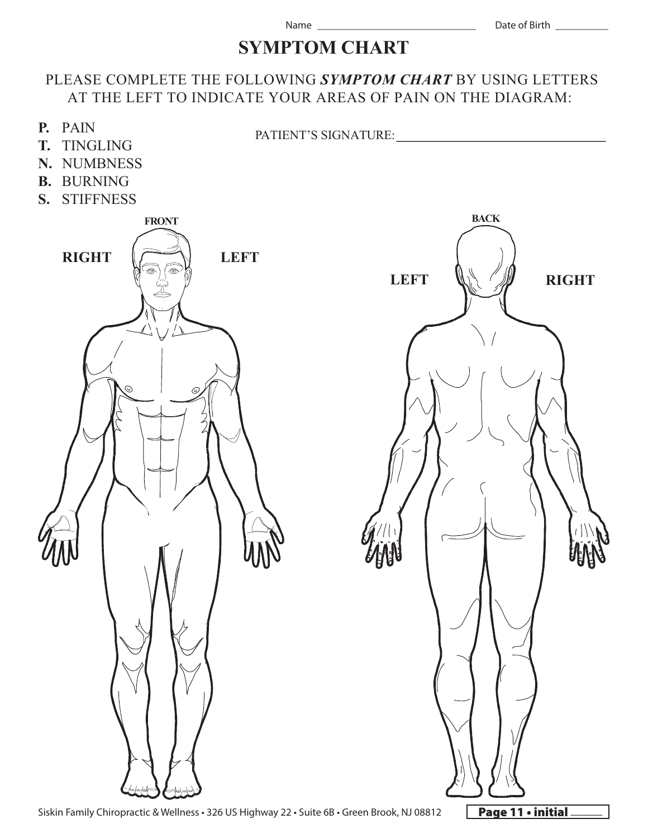### **SYMPTOM CHART**

#### PLEASE COMPLETE THE FOLLOWING *SYMPTOM CHART* BY USING LETTERS AT THE LEFT TO INDICATE YOUR AREAS OF PAIN ON THE DIAGRAM:



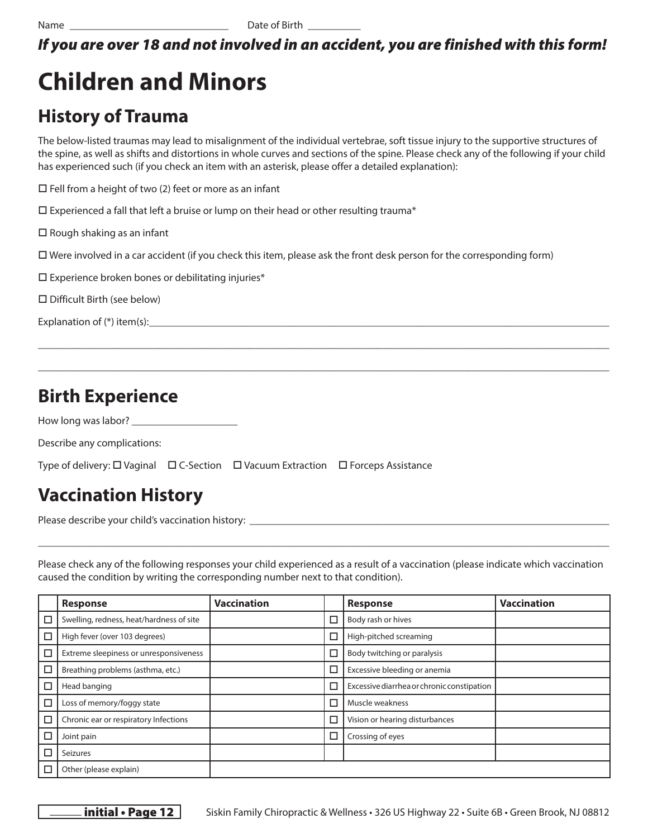### *If you are over 18 and not involved in an accident, you are finished with this form!*

## **Children and Minors**

### **History of Trauma**

The below-listed traumas may lead to misalignment of the individual vertebrae, soft tissue injury to the supportive structures of the spine, as well as shifts and distortions in whole curves and sections of the spine. Please check any of the following if your child has experienced such (if you check an item with an asterisk, please offer a detailed explanation):

\_\_\_\_\_\_\_\_\_\_\_\_\_\_\_\_\_\_\_\_\_\_\_\_\_\_\_\_\_\_\_\_\_\_\_\_\_\_\_\_\_\_\_\_\_\_\_\_\_\_\_\_\_\_\_\_\_\_\_\_\_\_\_\_\_\_\_\_\_\_\_\_\_\_\_\_\_\_\_\_\_\_\_\_\_\_\_\_\_\_\_\_\_\_\_\_\_\_\_\_\_\_\_\_\_\_\_\_

\_\_\_\_\_\_\_\_\_\_\_\_\_\_\_\_\_\_\_\_\_\_\_\_\_\_\_\_\_\_\_\_\_\_\_\_\_\_\_\_\_\_\_\_\_\_\_\_\_\_\_\_\_\_\_\_\_\_\_\_\_\_\_\_\_\_\_\_\_\_\_\_\_\_\_\_\_\_\_\_\_\_\_\_\_\_\_\_\_\_\_\_\_\_\_\_\_\_\_\_\_\_\_\_\_\_\_\_

 $\square$  Fell from a height of two (2) feet or more as an infant

 $\square$  Experienced a fall that left a bruise or lump on their head or other resulting trauma\*

 $\square$  Rough shaking as an infant

Were involved in a car accident (if you check this item, please ask the front desk person for the corresponding form)

 $\square$  Experience broken bones or debilitating injuries\*

Difficult Birth (see below)

Explanation of  $(*)$  item(s):

### **Birth Experience**

How long was labor?

Describe any complications:

Type of delivery:  $\Box$  Vaginal  $\Box$  C-Section  $\Box$  Vacuum Extraction  $\Box$  Forceps Assistance

### **Vaccination History**

Please describe your child's vaccination history: \_\_\_\_\_\_\_\_\_\_\_\_\_\_\_\_\_\_\_\_\_\_\_\_\_\_\_\_\_\_\_\_\_\_\_\_\_\_\_\_\_\_\_\_\_\_\_\_\_\_\_\_\_\_\_\_\_\_\_\_\_\_\_\_\_\_\_\_

Please check any of the following responses your child experienced as a result of a vaccination (please indicate which vaccination caused the condition by writing the corresponding number next to that condition).

\_\_\_\_\_\_\_\_\_\_\_\_\_\_\_\_\_\_\_\_\_\_\_\_\_\_\_\_\_\_\_\_\_\_\_\_\_\_\_\_\_\_\_\_\_\_\_\_\_\_\_\_\_\_\_\_\_\_\_\_\_\_\_\_\_\_\_\_\_\_\_\_\_\_\_\_\_\_\_\_\_\_\_\_\_\_\_\_\_\_\_\_\_\_\_\_\_\_\_\_\_\_\_\_\_\_\_\_

|   | <b>Response</b>                          | <b>Vaccination</b> |   | <b>Response</b>                            | <b>Vaccination</b> |
|---|------------------------------------------|--------------------|---|--------------------------------------------|--------------------|
| □ | Swelling, redness, heat/hardness of site |                    | ⊏ | Body rash or hives                         |                    |
| □ | High fever (over 103 degrees)            |                    | ⊏ | High-pitched screaming                     |                    |
| □ | Extreme sleepiness or unresponsiveness   |                    | ⊏ | Body twitching or paralysis                |                    |
| □ | Breathing problems (asthma, etc.)        |                    | ⊏ | Excessive bleeding or anemia               |                    |
| □ | Head banging                             |                    | ⊏ | Excessive diarrhea or chronic constipation |                    |
| □ | Loss of memory/foggy state               |                    | Е | Muscle weakness                            |                    |
| □ | Chronic ear or respiratory Infections    |                    | С | Vision or hearing disturbances             |                    |
| □ | Joint pain                               |                    | ⊏ | Crossing of eyes                           |                    |
| □ | <b>Seizures</b>                          |                    |   |                                            |                    |
| Е | Other (please explain)                   |                    |   |                                            |                    |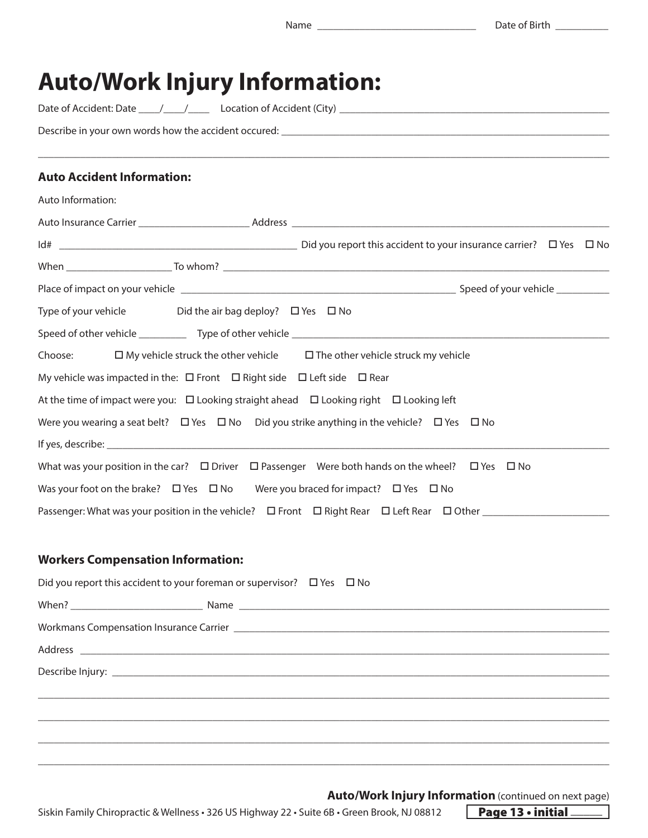### **Auto/Work Injury Information:**

Date of Accident: Date \_\_\_\_/\_\_\_\_/\_\_\_\_ Location of Accident (City) \_\_\_\_\_\_\_\_\_\_\_\_\_\_\_\_\_\_\_\_\_\_\_\_\_\_\_\_\_\_\_\_\_\_\_\_\_\_\_\_\_\_\_\_\_\_\_\_\_\_\_

Describe in your own words how the accident occured: \_\_\_\_\_\_\_\_\_\_\_\_\_\_\_\_\_\_\_\_\_\_\_\_\_\_\_

#### **Auto Accident Information:**

| Auto Information:                                                                           |                                                                                                                        |  |
|---------------------------------------------------------------------------------------------|------------------------------------------------------------------------------------------------------------------------|--|
|                                                                                             |                                                                                                                        |  |
|                                                                                             |                                                                                                                        |  |
|                                                                                             |                                                                                                                        |  |
|                                                                                             |                                                                                                                        |  |
| Type of your vehicle Did the air bag deploy? $\Box$ Yes $\Box$ No                           |                                                                                                                        |  |
|                                                                                             |                                                                                                                        |  |
|                                                                                             | Choose: $\square$ My vehicle struck the other vehicle $\square$ The other vehicle struck my vehicle                    |  |
| My vehicle was impacted in the: $\Box$ Front $\Box$ Right side $\Box$ Left side $\Box$ Rear |                                                                                                                        |  |
|                                                                                             | At the time of impact were you: $\Box$ Looking straight ahead $\Box$ Looking right $\Box$ Looking left                 |  |
|                                                                                             | Were you wearing a seat belt? $\Box$ Yes $\Box$ No $\Box$ Did you strike anything in the vehicle? $\Box$ Yes $\Box$ No |  |
|                                                                                             |                                                                                                                        |  |
|                                                                                             | What was your position in the car? $\Box$ Driver $\Box$ Passenger Were both hands on the wheel? $\Box$ Yes $\Box$ No   |  |
|                                                                                             | Was your foot on the brake? $\Box$ Yes $\Box$ No Were you braced for impact? $\Box$ Yes $\Box$ No                      |  |
|                                                                                             |                                                                                                                        |  |

\_\_\_\_\_\_\_\_\_\_\_\_\_\_\_\_\_\_\_\_\_\_\_\_\_\_\_\_\_\_\_\_\_\_\_\_\_\_\_\_\_\_\_\_\_\_\_\_\_\_\_\_\_\_\_\_\_\_\_\_\_\_\_\_\_\_\_\_\_\_\_\_\_\_\_\_\_\_\_\_\_\_\_\_\_\_\_\_\_\_\_\_\_\_\_\_\_\_\_\_\_\_\_\_\_\_\_\_

#### **Workers Compensation Information:**

| Did you report this accident to your foreman or supervisor? $\Box$ Yes $\Box$ No |
|----------------------------------------------------------------------------------|
|                                                                                  |
|                                                                                  |
|                                                                                  |
|                                                                                  |
|                                                                                  |
|                                                                                  |
|                                                                                  |

\_\_\_\_\_\_\_\_\_\_\_\_\_\_\_\_\_\_\_\_\_\_\_\_\_\_\_\_\_\_\_\_\_\_\_\_\_\_\_\_\_\_\_\_\_\_\_\_\_\_\_\_\_\_\_\_\_\_\_\_\_\_\_\_\_\_\_\_\_\_\_\_\_\_\_\_\_\_\_\_\_\_\_\_\_\_\_\_\_\_\_\_\_\_\_\_\_\_\_\_\_\_\_\_\_\_\_\_

\_\_\_\_\_\_\_\_\_\_\_\_\_\_\_\_\_\_\_\_\_\_\_\_\_\_\_\_\_\_\_\_\_\_\_\_\_\_\_\_\_\_\_\_\_\_\_\_\_\_\_\_\_\_\_\_\_\_\_\_\_\_\_\_\_\_\_\_\_\_\_\_\_\_\_\_\_\_\_\_\_\_\_\_\_\_\_\_\_\_\_\_\_\_\_\_\_\_\_\_\_\_\_\_\_\_\_\_

**Auto/Work Injury Information** (continued on next page)